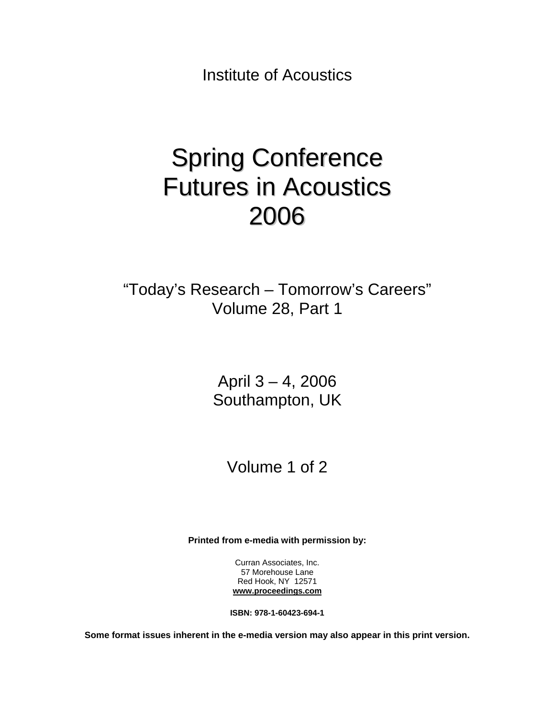Institute of Acoustics

# Spring Conference Futures in Acoustics 2006

"Today's Research – Tomorrow's Careers" Volume 28, Part 1

> April 3 – 4, 2006 Southampton, UK

> > Volume 1 of 2

**Printed from e-media with permission by:** 

Curran Associates, Inc. 57 Morehouse Lane Red Hook, NY 12571 **[www.proceedings.com](http://www.proceedings.com/)**

**ISBN: 978-1-60423-694-1** 

**Some format issues inherent in the e-media version may also appear in this print version.**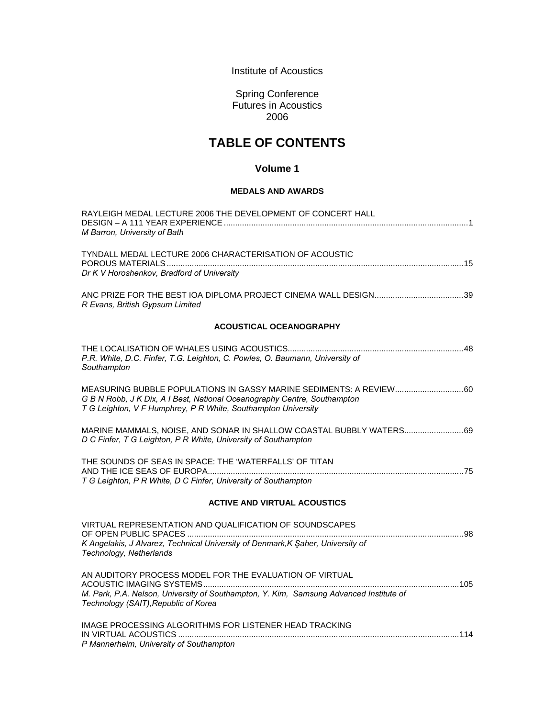Institute of Acoustics

Spring Conference Futures in Acoustics 2006

# **TABLE OF CONTENTS**

## **Volume 1**

### **MEDALS AND AWARDS**

| RAYLEIGH MEDAL LECTURE 2006 THE DEVELOPMENT OF CONCERT HALL                                                                                                                                                      |
|------------------------------------------------------------------------------------------------------------------------------------------------------------------------------------------------------------------|
| M Barron, University of Bath                                                                                                                                                                                     |
| TYNDALL MEDAL LECTURE 2006 CHARACTERISATION OF ACOUSTIC<br>Dr K V Horoshenkov, Bradford of University                                                                                                            |
|                                                                                                                                                                                                                  |
| R Evans, British Gypsum Limited                                                                                                                                                                                  |
| <b>ACOUSTICAL OCEANOGRAPHY</b>                                                                                                                                                                                   |
| P.R. White, D.C. Finfer, T.G. Leighton, C. Powles, O. Baumann, University of<br>Southampton                                                                                                                      |
| MEASURING BUBBLE POPULATIONS IN GASSY MARINE SEDIMENTS: A REVIEW 60<br>G B N Robb, J K Dix, A I Best, National Oceanography Centre, Southampton<br>T G Leighton, V F Humphrey, P R White, Southampton University |
| MARINE MAMMALS, NOISE, AND SONAR IN SHALLOW COASTAL BUBBLY WATERS 69<br>D C Finfer, T G Leighton, P R White, University of Southampton                                                                           |
| THE SOUNDS OF SEAS IN SPACE: THE 'WATERFALLS' OF TITAN                                                                                                                                                           |
| T G Leighton, P R White, D C Finfer, University of Southampton                                                                                                                                                   |
| <b>ACTIVE AND VIRTUAL ACOUSTICS</b>                                                                                                                                                                              |
| VIRTUAL REPRESENTATION AND QUALIFICATION OF SOUNDSCAPES                                                                                                                                                          |
| K Angelakis, J Alvarez, Technical University of Denmark, K Şaher, University of<br>Technology, Netherlands                                                                                                       |
| AN AUDITORY PROCESS MODEL FOR THE EVALUATION OF VIRTUAL                                                                                                                                                          |
| M. Park, P.A. Nelson, University of Southampton, Y. Kim, Samsung Advanced Institute of<br>Technology (SAIT), Republic of Korea                                                                                   |
| IMAGE PROCESSING ALGORITHMS FOR LISTENER HEAD TRACKING                                                                                                                                                           |
| P Mannerheim, University of Southampton                                                                                                                                                                          |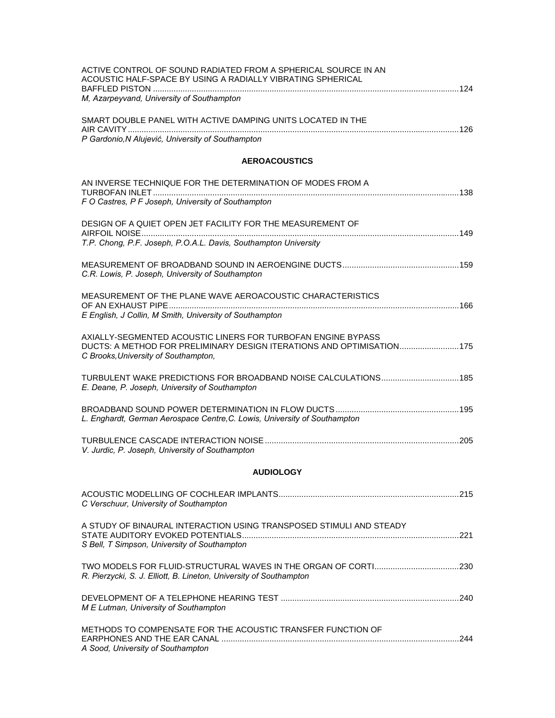| ACTIVE CONTROL OF SOUND RADIATED FROM A SPHERICAL SOURCE IN AN<br>ACOUSTIC HALF-SPACE BY USING A RADIALLY VIBRATING SPHERICAL                                                  |  |
|--------------------------------------------------------------------------------------------------------------------------------------------------------------------------------|--|
| M, Azarpeyvand, University of Southampton                                                                                                                                      |  |
| SMART DOUBLE PANEL WITH ACTIVE DAMPING UNITS LOCATED IN THE<br>P Gardonio, N Alujević, University of Southampton                                                               |  |
| <b>AEROACOUSTICS</b>                                                                                                                                                           |  |
| AN INVERSE TECHNIQUE FOR THE DETERMINATION OF MODES FROM A                                                                                                                     |  |
| F O Castres, P F Joseph, University of Southampton                                                                                                                             |  |
| DESIGN OF A QUIET OPEN JET FACILITY FOR THE MEASUREMENT OF                                                                                                                     |  |
| T.P. Chong, P.F. Joseph, P.O.A.L. Davis, Southampton University                                                                                                                |  |
| C.R. Lowis, P. Joseph, University of Southampton                                                                                                                               |  |
| MEASUREMENT OF THE PLANE WAVE AEROACOUSTIC CHARACTERISTICS                                                                                                                     |  |
| E English, J Collin, M Smith, University of Southampton                                                                                                                        |  |
| AXIALLY-SEGMENTED ACOUSTIC LINERS FOR TURBOFAN ENGINE BYPASS<br>DUCTS: A METHOD FOR PRELIMINARY DESIGN ITERATIONS AND OPTIMISATION 175<br>C Brooks, University of Southampton, |  |
| TURBULENT WAKE PREDICTIONS FOR BROADBAND NOISE CALCULATIONS 185<br>E. Deane, P. Joseph, University of Southampton                                                              |  |
| L. Enghardt, German Aerospace Centre, C. Lowis, University of Southampton                                                                                                      |  |
| V. Jurdic, P. Joseph, University of Southampton                                                                                                                                |  |
| <b>AUDIOLOGY</b>                                                                                                                                                               |  |
| C Verschuur, University of Southampton                                                                                                                                         |  |
| A STUDY OF BINAURAL INTERACTION USING TRANSPOSED STIMULI AND STEADY<br>S Bell, T Simpson, University of Southampton                                                            |  |
| R. Pierzycki, S. J. Elliott, B. Lineton, University of Southampton                                                                                                             |  |
| M E Lutman, University of Southampton                                                                                                                                          |  |
| METHODS TO COMPENSATE FOR THE ACOUSTIC TRANSFER FUNCTION OF<br>A Sood, University of Southampton                                                                               |  |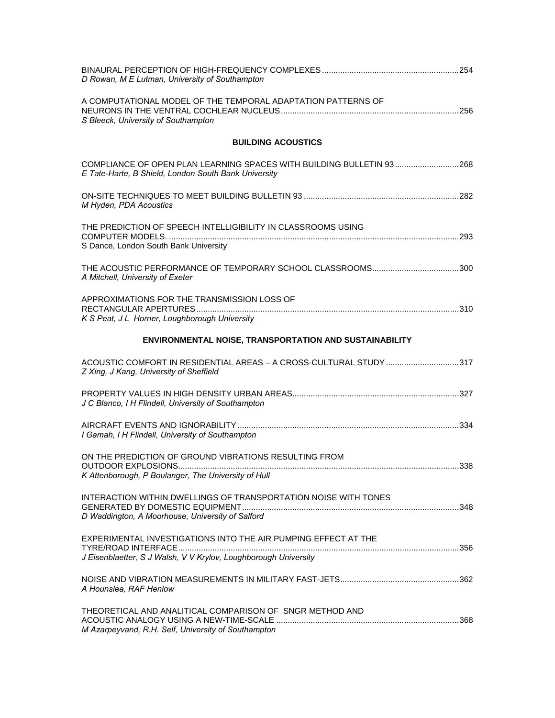| D Rowan, M E Lutman, University of Southampton                                                                                    |     |
|-----------------------------------------------------------------------------------------------------------------------------------|-----|
| A COMPUTATIONAL MODEL OF THE TEMPORAL ADAPTATION PATTERNS OF<br>S Bleeck, University of Southampton                               |     |
| <b>BUILDING ACOUSTICS</b>                                                                                                         |     |
| COMPLIANCE OF OPEN PLAN LEARNING SPACES WITH BUILDING BULLETIN 93268<br>E Tate-Harte, B Shield, London South Bank University      |     |
| M Hyden, PDA Acoustics                                                                                                            |     |
| THE PREDICTION OF SPEECH INTELLIGIBILITY IN CLASSROOMS USING<br>S Dance, London South Bank University                             |     |
| A Mitchell, University of Exeter                                                                                                  |     |
| APPROXIMATIONS FOR THE TRANSMISSION LOSS OF<br>K S Peat, J L Horner, Loughborough University                                      |     |
| ENVIRONMENTAL NOISE, TRANSPORTATION AND SUSTAINABILITY                                                                            |     |
| ACOUSTIC COMFORT IN RESIDENTIAL AREAS - A CROSS-CULTURAL STUDY 317<br>Z Xing, J Kang, University of Sheffield                     |     |
| J C Blanco, I H Flindell, University of Southampton                                                                               |     |
| I Gamah, I H Flindell, University of Southampton                                                                                  |     |
| ON THE PREDICTION OF GROUND VIBRATIONS RESULTING FROM<br>K Attenborough, P Boulanger, The University of Hull                      | 338 |
| INTERACTION WITHIN DWELLINGS OF TRANSPORTATION NOISE WITH TONES<br>D Waddington, A Moorhouse, University of Salford               |     |
| EXPERIMENTAL INVESTIGATIONS INTO THE AIR PUMPING EFFECT AT THE<br>J Eisenblaetter, S J Walsh, V V Krylov, Loughborough University |     |
| A Hounslea, RAF Henlow                                                                                                            |     |
| THEORETICAL AND ANALITICAL COMPARISON OF SNGR METHOD AND<br>M Azarpeyvand, R.H. Self, University of Southampton                   |     |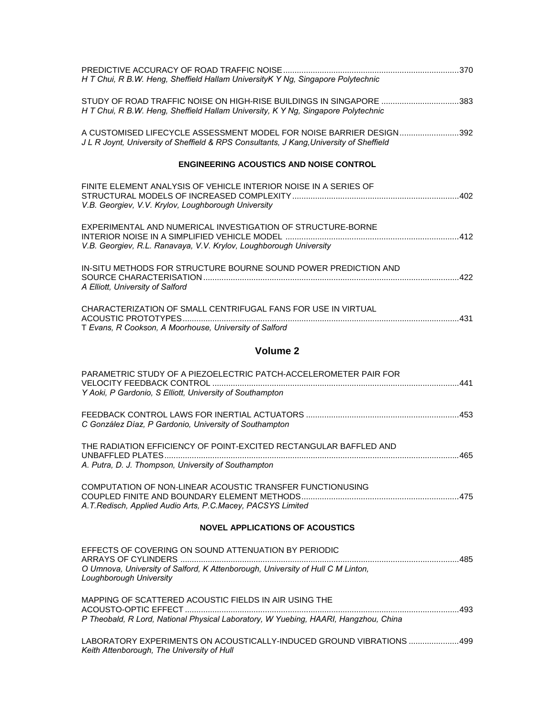| H T Chui, R B.W. Heng, Sheffield Hallam UniversityK Y Ng, Singapore Polytechnic                                                                                |
|----------------------------------------------------------------------------------------------------------------------------------------------------------------|
| STUDY OF ROAD TRAFFIC NOISE ON HIGH-RISE BUILDINGS IN SINGAPORE 383<br>H T Chui, R B.W. Heng, Sheffield Hallam University, K Y Ng, Singapore Polytechnic       |
| A CUSTOMISED LIFECYCLE ASSESSMENT MODEL FOR NOISE BARRIER DESIGN392<br>J L R Joynt, University of Sheffield & RPS Consultants, J Kang, University of Sheffield |
| <b>ENGINEERING ACOUSTICS AND NOISE CONTROL</b>                                                                                                                 |
| FINITE ELEMENT ANALYSIS OF VEHICLE INTERIOR NOISE IN A SERIES OF<br>V.B. Georgiev, V.V. Krylov, Loughborough University                                        |
| EXPERIMENTAL AND NUMERICAL INVESTIGATION OF STRUCTURE-BORNE<br>V.B. Georgiev, R.L. Ranavaya, V.V. Krylov, Loughborough University                              |
| IN-SITU METHODS FOR STRUCTURE BOURNE SOUND POWER PREDICTION AND<br>A Elliott, University of Salford                                                            |
| CHARACTERIZATION OF SMALL CENTRIFUGAL FANS FOR USE IN VIRTUAL<br>T Evans, R Cookson, A Moorhouse, University of Salford                                        |
| Volume <sub>2</sub>                                                                                                                                            |
| PARAMETRIC STUDY OF A PIEZOELECTRIC PATCH-ACCELEROMETER PAIR FOR<br>Y Aoki, P Gardonio, S Elliott, University of Southampton                                   |
| C González Díaz, P Gardonio, University of Southampton                                                                                                         |
| THE RADIATION EFFICIENCY OF POINT-EXCITED RECTANGULAR BAFFLED AND                                                                                              |

COMPUTATION OF NON-LINEAR ACOUSTIC TRANSFER FUNCTIONUSING COUPLED FINITE AND BOUNDARY ELEMENT METHODS.....................................................................475 *A.T.Redisch, Applied Audio Arts, P.C.Macey, PACSYS Limited*

UNBAFFLED PLATES.................................................................................................................................465

*A. Putra, D. J. Thompson, University of Southampton* 

#### **NOVEL APPLICATIONS OF ACOUSTICS**

| EFFECTS OF COVERING ON SOUND ATTENUATION BY PERIODIC<br>O Umnova, University of Salford, K Attenborough, University of Hull C M Linton,<br>Loughborough University |  |
|--------------------------------------------------------------------------------------------------------------------------------------------------------------------|--|
| MAPPING OF SCATTERED ACOUSTIC FIELDS IN AIR USING THE<br>P Theobald, R Lord, National Physical Laboratory, W Yuebing, HAARI, Hangzhou, China                       |  |
| LABORATORY EXPERIMENTS ON ACOUSTICALLY-INDUCED GROUND VIBRATIONS 499<br>Keith Attenborough, The University of Hull                                                 |  |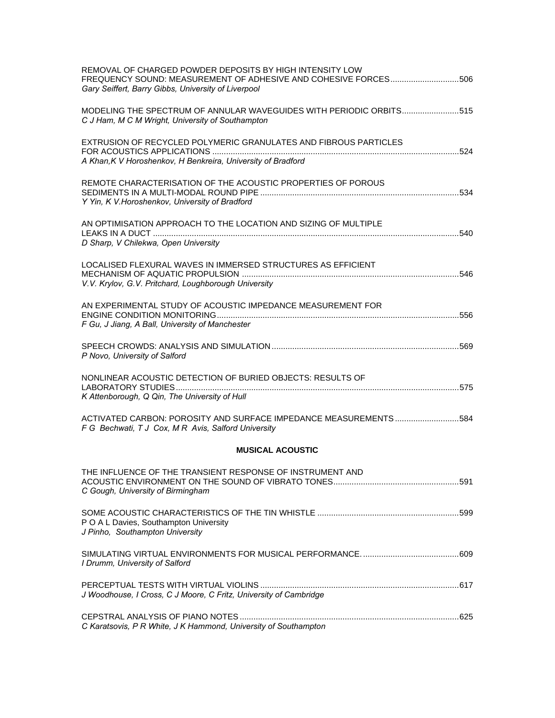| REMOVAL OF CHARGED POWDER DEPOSITS BY HIGH INTENSITY LOW<br>FREQUENCY SOUND: MEASUREMENT OF ADHESIVE AND COHESIVE FORCES506<br>Gary Seiffert, Barry Gibbs, University of Liverpool |
|------------------------------------------------------------------------------------------------------------------------------------------------------------------------------------|
| MODELING THE SPECTRUM OF ANNULAR WAVEGUIDES WITH PERIODIC ORBITS515<br>C J Ham, M C M Wright, University of Southampton                                                            |
| EXTRUSION OF RECYCLED POLYMERIC GRANULATES AND FIBROUS PARTICLES<br>A Khan, K V Horoshenkov, H Benkreira, University of Bradford                                                   |
| REMOTE CHARACTERISATION OF THE ACOUSTIC PROPERTIES OF POROUS<br>Y Yin, K V. Horoshenkov, University of Bradford                                                                    |
| AN OPTIMISATION APPROACH TO THE LOCATION AND SIZING OF MULTIPLE<br>D Sharp, V Chilekwa, Open University                                                                            |
| LOCALISED FLEXURAL WAVES IN IMMERSED STRUCTURES AS EFFICIENT<br>V.V. Krylov, G.V. Pritchard, Loughborough University                                                               |
| AN EXPERIMENTAL STUDY OF ACOUSTIC IMPEDANCE MEASUREMENT FOR<br>F Gu, J Jiang, A Ball, University of Manchester                                                                     |
| P Novo, University of Salford                                                                                                                                                      |
| NONLINEAR ACOUSTIC DETECTION OF BURIED OBJECTS: RESULTS OF<br>K Attenborough, Q Qin, The University of Hull                                                                        |
| ACTIVATED CARBON: POROSITY AND SURFACE IMPEDANCE MEASUREMENTS584<br>F G Bechwati, T J Cox, M R Avis, Salford University                                                            |
| <b>MUSICAL ACOUSTIC</b>                                                                                                                                                            |
| THE INFLUENCE OF THE TRANSIENT RESPONSE OF INSTRUMENT AND<br>C Gough, University of Birmingham                                                                                     |
| P O A L Davies, Southampton University<br>J Pinho, Southampton University                                                                                                          |
| I Drumm, University of Salford                                                                                                                                                     |
| J Woodhouse, I Cross, C J Moore, C Fritz, University of Cambridge                                                                                                                  |
| C Karatsovis, P R White, J K Hammond, University of Southampton                                                                                                                    |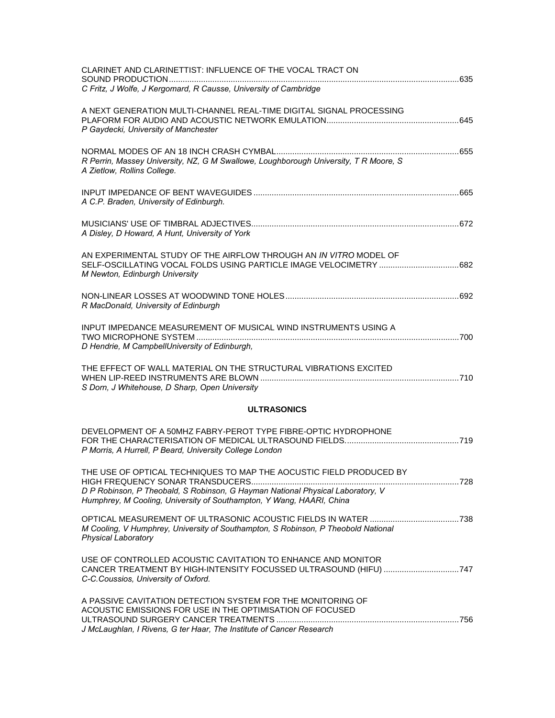| CLARINET AND CLARINETTIST: INFLUENCE OF THE VOCAL TRACT ON                                                                                                                                                                    |  |
|-------------------------------------------------------------------------------------------------------------------------------------------------------------------------------------------------------------------------------|--|
| C Fritz, J Wolfe, J Kergomard, R Causse, University of Cambridge                                                                                                                                                              |  |
| A NEXT GENERATION MULTI-CHANNEL REAL-TIME DIGITAL SIGNAL PROCESSING<br>P Gaydecki, University of Manchester                                                                                                                   |  |
| R Perrin, Massey University, NZ, G M Swallowe, Loughborough University, T R Moore, S<br>A Zietlow, Rollins College.                                                                                                           |  |
| A C.P. Braden, University of Edinburgh.                                                                                                                                                                                       |  |
| A Disley, D Howard, A Hunt, University of York                                                                                                                                                                                |  |
| AN EXPERIMENTAL STUDY OF THE AIRFLOW THROUGH AN IN VITRO MODEL OF<br>M Newton, Edinburgh University                                                                                                                           |  |
| R MacDonald, University of Edinburgh                                                                                                                                                                                          |  |
| INPUT IMPEDANCE MEASUREMENT OF MUSICAL WIND INSTRUMENTS USING A<br>D Hendrie, M CampbellUniversity of Edinburgh,                                                                                                              |  |
| THE EFFECT OF WALL MATERIAL ON THE STRUCTURAL VIBRATIONS EXCITED<br>S Dorn, J Whitehouse, D Sharp, Open University                                                                                                            |  |
| <b>ULTRASONICS</b>                                                                                                                                                                                                            |  |
| DEVELOPMENT OF A 50MHZ FABRY-PEROT TYPE FIBRE-OPTIC HYDROPHONE<br>P Morris, A Hurrell, P Beard, University College London                                                                                                     |  |
| THE USE OF OPTICAL TECHNIQUES TO MAP THE AOCUSTIC FIELD PRODUCED BY<br>D P Robinson, P Theobald, S Robinson, G Hayman National Physical Laboratory, V<br>Humphrey, M Cooling, University of Southampton, Y Wang, HAARI, China |  |
| M Cooling, V Humphrey, University of Southampton, S Robinson, P Theobold National<br><b>Physical Laboratory</b>                                                                                                               |  |
| USE OF CONTROLLED ACOUSTIC CAVITATION TO ENHANCE AND MONITOR<br>CANCER TREATMENT BY HIGH-INTENSITY FOCUSSED ULTRASOUND (HIFU) 747<br>C-C.Coussios, University of Oxford.                                                      |  |
| A PASSIVE CAVITATION DETECTION SYSTEM FOR THE MONITORING OF<br>ACOUSTIC EMISSIONS FOR USE IN THE OPTIMISATION OF FOCUSED<br>J McLaughlan, I Rivens, G ter Haar, The Institute of Cancer Research                              |  |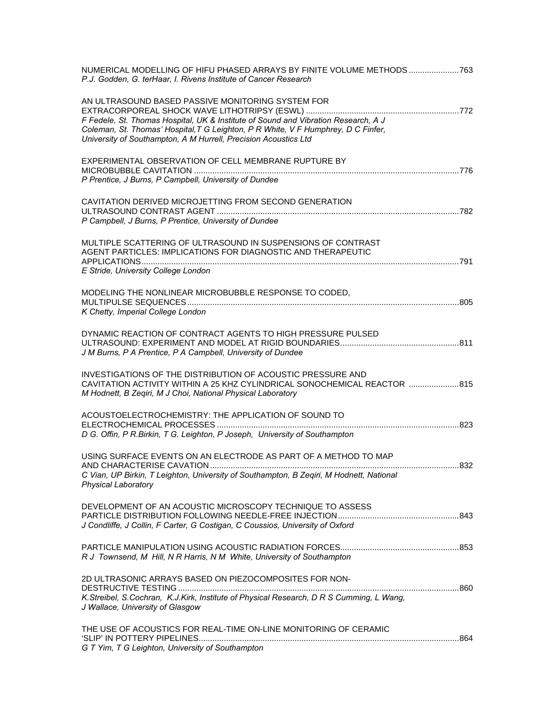| NUMERICAL MODELLING OF HIFU PHASED ARRAYS BY FINITE VOLUME METHODS763<br>P.J. Godden, G. terHaar, I. Rivens Institute of Cancer Research                                                                                                                                                        |  |
|-------------------------------------------------------------------------------------------------------------------------------------------------------------------------------------------------------------------------------------------------------------------------------------------------|--|
| AN ULTRASOUND BASED PASSIVE MONITORING SYSTEM FOR<br>F Fedele, St. Thomas Hospital, UK & Institute of Sound and Vibration Research, A J<br>Coleman, St. Thomas' Hospital, T G Leighton, P R White, V F Humphrey, D C Finfer,<br>University of Southampton, A M Hurrell, Precision Acoustics Ltd |  |
| EXPERIMENTAL OBSERVATION OF CELL MEMBRANE RUPTURE BY<br>P Prentice, J Burns, P Campbell, University of Dundee                                                                                                                                                                                   |  |
| CAVITATION DERIVED MICROJETTING FROM SECOND GENERATION<br>P Campbell, J Burns, P Prentice, University of Dundee                                                                                                                                                                                 |  |
| MULTIPLE SCATTERING OF ULTRASOUND IN SUSPENSIONS OF CONTRAST<br>AGENT PARTICLES: IMPLICATIONS FOR DIAGNOSTIC AND THERAPEUTIC<br>E Stride, University College London                                                                                                                             |  |
| MODELING THE NONLINEAR MICROBUBBLE RESPONSE TO CODED,<br>K Chetty, Imperial College London                                                                                                                                                                                                      |  |
| DYNAMIC REACTION OF CONTRACT AGENTS TO HIGH PRESSURE PULSED<br>J M Burns, P A Prentice, P A Campbell, University of Dundee                                                                                                                                                                      |  |
| INVESTIGATIONS OF THE DISTRIBUTION OF ACOUSTIC PRESSURE AND<br>CAVITATION ACTIVITY WITHIN A 25 KHZ CYLINDRICAL SONOCHEMICAL REACTOR  815<br>M Hodnett, B Zeqiri, M J Choi, National Physical Laboratory                                                                                         |  |
| ACOUSTOELECTROCHEMISTRY: THE APPLICATION OF SOUND TO<br>D G. Offin, P R. Birkin, T G. Leighton, P Joseph, University of Southampton                                                                                                                                                             |  |
| USING SURFACE EVENTS ON AN ELECTRODE AS PART OF A METHOD TO MAP<br>C Vian, UP Birkin, T Leighton, University of Southampton, B Zegiri, M Hodnett, National<br><b>Physical Laboratory</b>                                                                                                        |  |
| DEVELOPMENT OF AN ACOUSTIC MICROSCOPY TECHNIQUE TO ASSESS<br>J Condliffe, J Collin, F Carter, G Costigan, C Coussios, University of Oxford                                                                                                                                                      |  |
| R J Townsend, M Hill, N R Harris, N M White, University of Southampton                                                                                                                                                                                                                          |  |
| 2D ULTRASONIC ARRAYS BASED ON PIEZOCOMPOSITES FOR NON-<br>K. Streibel, S. Cochran, K.J. Kirk, Institute of Physical Research, D R S Cumming, L Wang,<br>J Wallace, University of Glasgow                                                                                                        |  |
| THE USE OF ACOUSTICS FOR REAL-TIME ON-LINE MONITORING OF CERAMIC<br>G T Yim, T G Leighton, University of Southampton                                                                                                                                                                            |  |